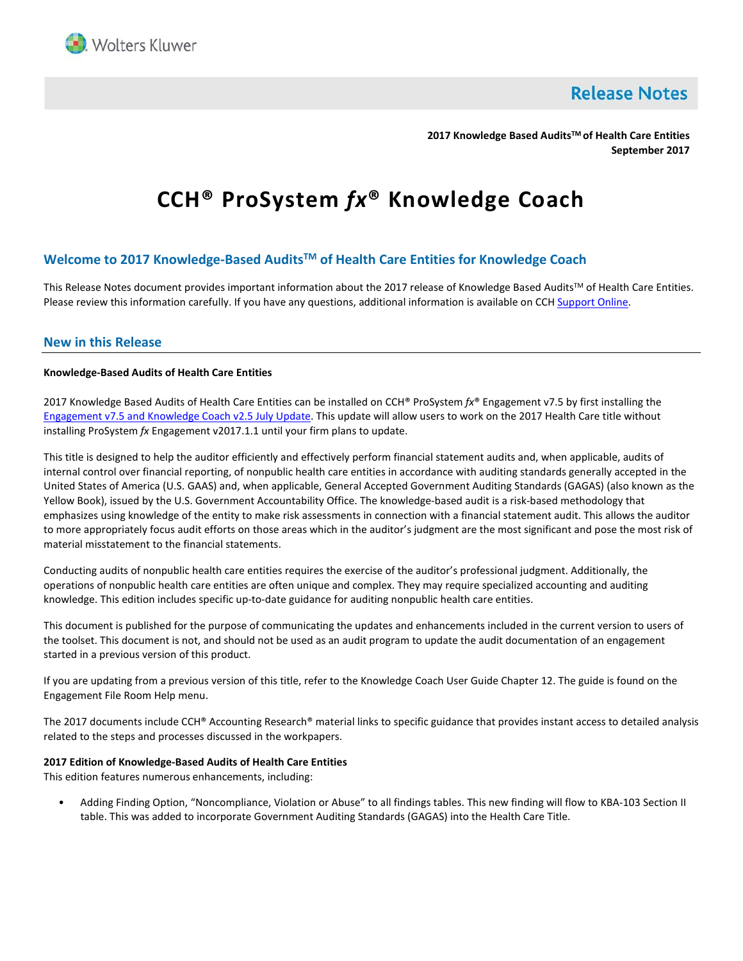

**Release Notes** 

**2017 Knowledge Based AuditsTM of Health Care Entities September 2017**

# **CCH® ProSystem** *fx***® Knowledge Coach**

# **Welcome to 2017 Knowledge-Based AuditsTM of Health Care Entities for Knowledge Coach**

This Release Notes document provides important information about the 2017 release of Knowledge Based Audits™ of Health Care Entities. Please review this information carefully. If you have any questions, additional information is available on CC[H Support Online.](http://support.cch.com/productsupport/)

# **New in this Release**

## **Knowledge-Based Audits of Health Care Entities**

2017 Knowledge Based Audits of Health Care Entities can be installed on CCH® ProSystem *fx*® Engagement v7.5 by first installing the [Engagement v7.5 and](https://support.cch.com/updates/Engagement/patch75/patch75.aspx) Knowledge Coach v2.5 July Update. This update will allow users to work on the 2017 Health Care title without installing ProSystem *fx* Engagement v2017.1.1 until your firm plans to update.

This title is designed to help the auditor efficiently and effectively perform financial statement audits and, when applicable, audits of internal control over financial reporting, of nonpublic health care entities in accordance with auditing standards generally accepted in the United States of America (U.S. GAAS) and, when applicable, General Accepted Government Auditing Standards (GAGAS) (also known as the Yellow Book), issued by the U.S. Government Accountability Office. The knowledge-based audit is a risk-based methodology that emphasizes using knowledge of the entity to make risk assessments in connection with a financial statement audit. This allows the auditor to more appropriately focus audit efforts on those areas which in the auditor's judgment are the most significant and pose the most risk of material misstatement to the financial statements.

Conducting audits of nonpublic health care entities requires the exercise of the auditor's professional judgment. Additionally, the operations of nonpublic health care entities are often unique and complex. They may require specialized accounting and auditing knowledge. This edition includes specific up-to-date guidance for auditing nonpublic health care entities.

This document is published for the purpose of communicating the updates and enhancements included in the current version to users of the toolset. This document is not, and should not be used as an audit program to update the audit documentation of an engagement started in a previous version of this product.

If you are updating from a previous version of this title, refer to the Knowledge Coach User Guide Chapter 12. The guide is found on the Engagement File Room Help menu.

The 2017 documents include CCH® Accounting Research® material links to specific guidance that provides instant access to detailed analysis related to the steps and processes discussed in the workpapers.

## **2017 Edition of Knowledge-Based Audits of Health Care Entities**

This edition features numerous enhancements, including:

• Adding Finding Option, "Noncompliance, Violation or Abuse" to all findings tables. This new finding will flow to KBA-103 Section II table. This was added to incorporate Government Auditing Standards (GAGAS) into the Health Care Title.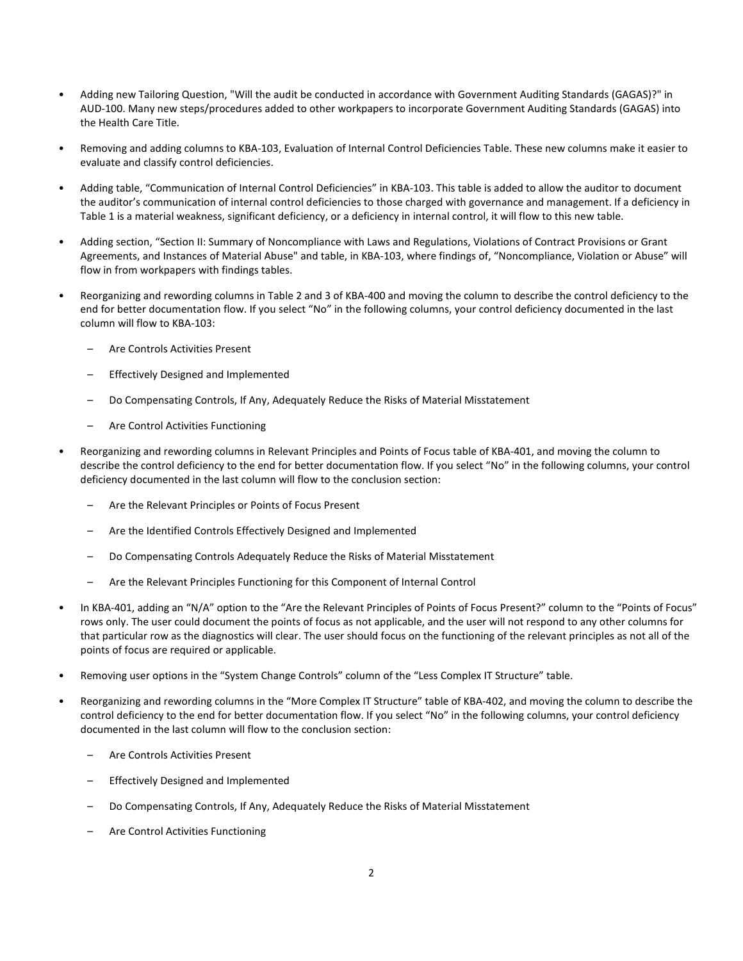- Adding new Tailoring Question, "Will the audit be conducted in accordance with Government Auditing Standards (GAGAS)?" in AUD-100. Many new steps/procedures added to other workpapers to incorporate Government Auditing Standards (GAGAS) into the Health Care Title.
- Removing and adding columns to KBA-103, Evaluation of Internal Control Deficiencies Table. These new columns make it easier to evaluate and classify control deficiencies.
- Adding table, "Communication of Internal Control Deficiencies" in KBA-103. This table is added to allow the auditor to document the auditor's communication of internal control deficiencies to those charged with governance and management. If a deficiency in Table 1 is a material weakness, significant deficiency, or a deficiency in internal control, it will flow to this new table.
- Adding section, "Section II: Summary of Noncompliance with Laws and Regulations, Violations of Contract Provisions or Grant Agreements, and Instances of Material Abuse" and table, in KBA-103, where findings of, "Noncompliance, Violation or Abuse" will flow in from workpapers with findings tables.
- Reorganizing and rewording columns in Table 2 and 3 of KBA-400 and moving the column to describe the control deficiency to the end for better documentation flow. If you select "No" in the following columns, your control deficiency documented in the last column will flow to KBA-103:
	- Are Controls Activities Present
	- Effectively Designed and Implemented
	- Do Compensating Controls, If Any, Adequately Reduce the Risks of Material Misstatement
	- Are Control Activities Functioning
- Reorganizing and rewording columns in Relevant Principles and Points of Focus table of KBA-401, and moving the column to describe the control deficiency to the end for better documentation flow. If you select "No" in the following columns, your control deficiency documented in the last column will flow to the conclusion section:
	- Are the Relevant Principles or Points of Focus Present
	- Are the Identified Controls Effectively Designed and Implemented
	- Do Compensating Controls Adequately Reduce the Risks of Material Misstatement
	- Are the Relevant Principles Functioning for this Component of Internal Control
- In KBA-401, adding an "N/A" option to the "Are the Relevant Principles of Points of Focus Present?" column to the "Points of Focus" rows only. The user could document the points of focus as not applicable, and the user will not respond to any other columns for that particular row as the diagnostics will clear. The user should focus on the functioning of the relevant principles as not all of the points of focus are required or applicable.
- Removing user options in the "System Change Controls" column of the "Less Complex IT Structure" table.
- Reorganizing and rewording columns in the "More Complex IT Structure" table of KBA-402, and moving the column to describe the control deficiency to the end for better documentation flow. If you select "No" in the following columns, your control deficiency documented in the last column will flow to the conclusion section:
	- Are Controls Activities Present
	- Effectively Designed and Implemented
	- Do Compensating Controls, If Any, Adequately Reduce the Risks of Material Misstatement
	- Are Control Activities Functioning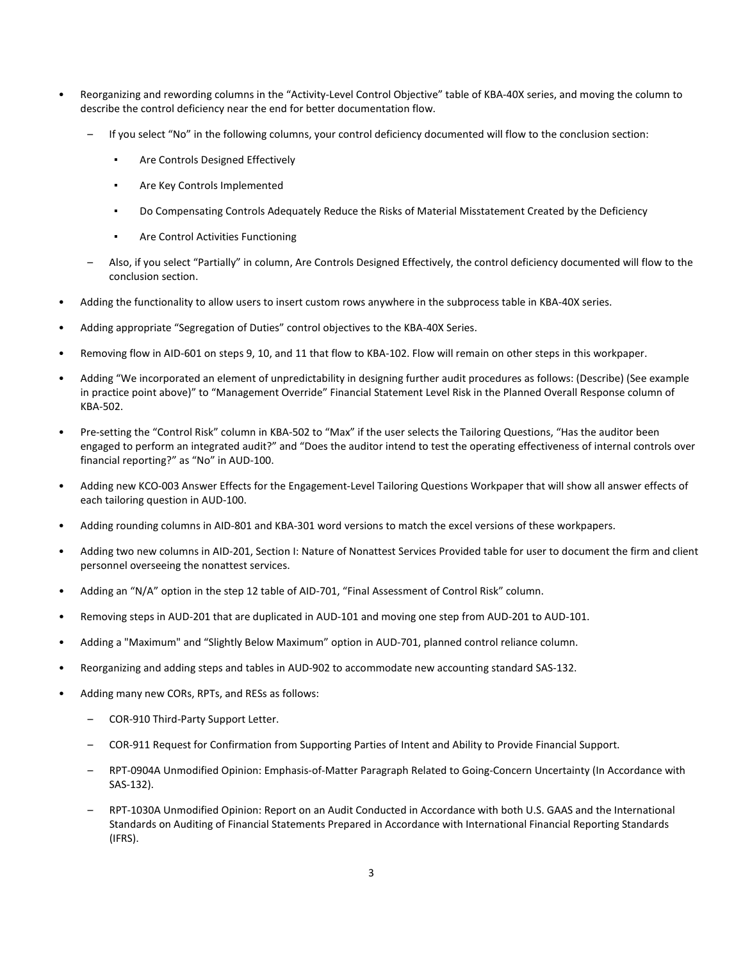- Reorganizing and rewording columns in the "Activity-Level Control Objective" table of KBA-40X series, and moving the column to describe the control deficiency near the end for better documentation flow.
	- If you select "No" in the following columns, your control deficiency documented will flow to the conclusion section:
		- Are Controls Designed Effectively
		- Are Key Controls Implemented
		- Do Compensating Controls Adequately Reduce the Risks of Material Misstatement Created by the Deficiency
		- Are Control Activities Functioning
	- Also, if you select "Partially" in column, Are Controls Designed Effectively, the control deficiency documented will flow to the conclusion section.
- Adding the functionality to allow users to insert custom rows anywhere in the subprocess table in KBA-40X series.
- Adding appropriate "Segregation of Duties" control objectives to the KBA-40X Series.
- Removing flow in AID-601 on steps 9, 10, and 11 that flow to KBA-102. Flow will remain on other steps in this workpaper.
- Adding "We incorporated an element of unpredictability in designing further audit procedures as follows: (Describe) (See example in practice point above)" to "Management Override" Financial Statement Level Risk in the Planned Overall Response column of KBA-502.
- Pre-setting the "Control Risk" column in KBA-502 to "Max" if the user selects the Tailoring Questions, "Has the auditor been engaged to perform an integrated audit?" and "Does the auditor intend to test the operating effectiveness of internal controls over financial reporting?" as "No" in AUD-100.
- Adding new KCO-003 Answer Effects for the Engagement-Level Tailoring Questions Workpaper that will show all answer effects of each tailoring question in AUD-100.
- Adding rounding columns in AID-801 and KBA-301 word versions to match the excel versions of these workpapers.
- Adding two new columns in AID-201, Section I: Nature of Nonattest Services Provided table for user to document the firm and client personnel overseeing the nonattest services.
- Adding an "N/A" option in the step 12 table of AID-701, "Final Assessment of Control Risk" column.
- Removing steps in AUD-201 that are duplicated in AUD-101 and moving one step from AUD-201 to AUD-101.
- Adding a "Maximum" and "Slightly Below Maximum" option in AUD-701, planned control reliance column.
- Reorganizing and adding steps and tables in AUD-902 to accommodate new accounting standard SAS-132.
- Adding many new CORs, RPTs, and RESs as follows:
	- COR-910 Third-Party Support Letter.
	- COR-911 Request for Confirmation from Supporting Parties of Intent and Ability to Provide Financial Support.
	- RPT-0904A Unmodified Opinion: Emphasis-of-Matter Paragraph Related to Going-Concern Uncertainty (In Accordance with SAS-132).
	- RPT-1030A Unmodified Opinion: Report on an Audit Conducted in Accordance with both U.S. GAAS and the International Standards on Auditing of Financial Statements Prepared in Accordance with International Financial Reporting Standards (IFRS).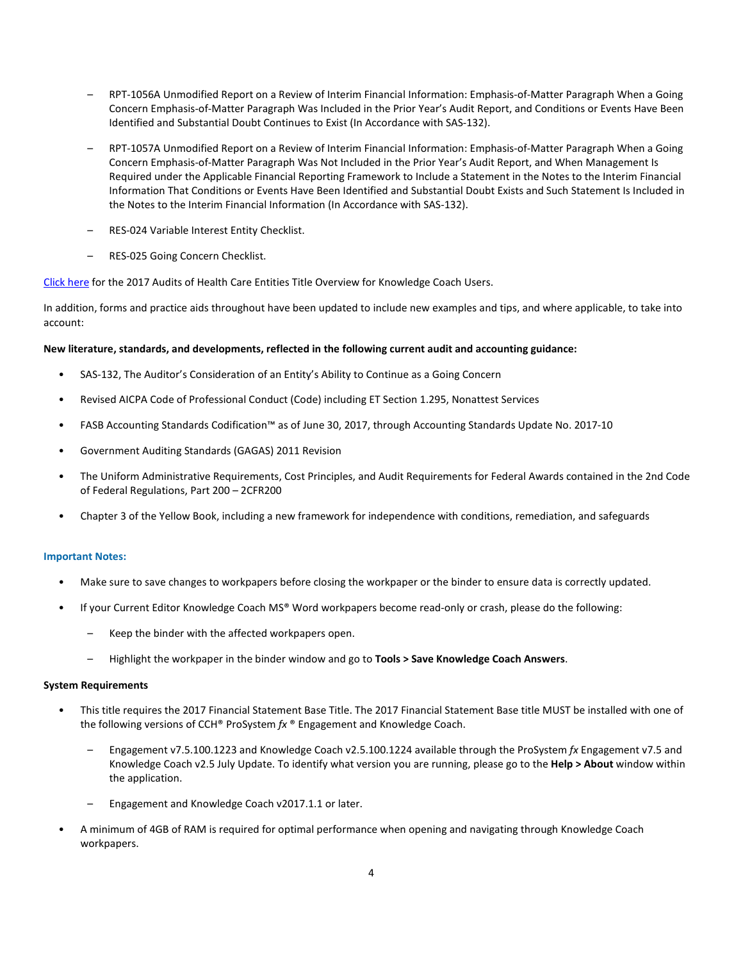- RPT-1056A Unmodified Report on a Review of Interim Financial Information: Emphasis-of-Matter Paragraph When a Going Concern Emphasis-of-Matter Paragraph Was Included in the Prior Year's Audit Report, and Conditions or Events Have Been Identified and Substantial Doubt Continues to Exist (In Accordance with SAS-132).
- RPT-1057A Unmodified Report on a Review of Interim Financial Information: Emphasis-of-Matter Paragraph When a Going Concern Emphasis-of-Matter Paragraph Was Not Included in the Prior Year's Audit Report, and When Management Is Required under the Applicable Financial Reporting Framework to Include a Statement in the Notes to the Interim Financial Information That Conditions or Events Have Been Identified and Substantial Doubt Exists and Such Statement Is Included in the Notes to the Interim Financial Information (In Accordance with SAS-132).
- RES-024 Variable Interest Entity Checklist.
- RES-025 Going Concern Checklist.

[Click here](http://support.cch.com/updates/KnowledgeCoach/pdf/guides_tab/2017%20Health%20Care%20Entities%20Title%20Overview%20for%20Knowledge%20Coach%20Users.pdf) for the 2017 Audits of Health Care Entities Title Overview for Knowledge Coach Users.

In addition, forms and practice aids throughout have been updated to include new examples and tips, and where applicable, to take into account:

### **New literature, standards, and developments, reflected in the following current audit and accounting guidance:**

- SAS-132, The Auditor's Consideration of an Entity's Ability to Continue as a Going Concern
- Revised AICPA Code of Professional Conduct (Code) including ET Section 1.295, Nonattest Services
- FASB Accounting Standards Codification™ as of June 30, 2017, through Accounting Standards Update No. 2017-10
- Government Auditing Standards (GAGAS) 2011 Revision
- The Uniform Administrative Requirements, Cost Principles, and Audit Requirements for Federal Awards contained in the 2nd Code of Federal Regulations, Part 200 – 2CFR200
- Chapter 3 of the Yellow Book, including a new framework for independence with conditions, remediation, and safeguards

### **Important Notes:**

- Make sure to save changes to workpapers before closing the workpaper or the binder to ensure data is correctly updated.
- If your Current Editor Knowledge Coach MS® Word workpapers become read-only or crash, please do the following:
	- Keep the binder with the affected workpapers open.
	- Highlight the workpaper in the binder window and go to **Tools > Save Knowledge Coach Answers**.

### **System Requirements**

- This title requires the 2017 Financial Statement Base Title. The 2017 Financial Statement Base title MUST be installed with one of the following versions of CCH® ProSystem *fx* ® Engagement and Knowledge Coach.
	- Engagement v7.5.100.1223 and Knowledge Coach v2.5.100.1224 available through the ProSystem *fx* Engagement v7.5 and Knowledge Coach v2.5 July Update. To identify what version you are running, please go to the **Help > About** window within the application.
	- Engagement and Knowledge Coach v2017.1.1 or later.
- A minimum of 4GB of RAM is required for optimal performance when opening and navigating through Knowledge Coach workpapers.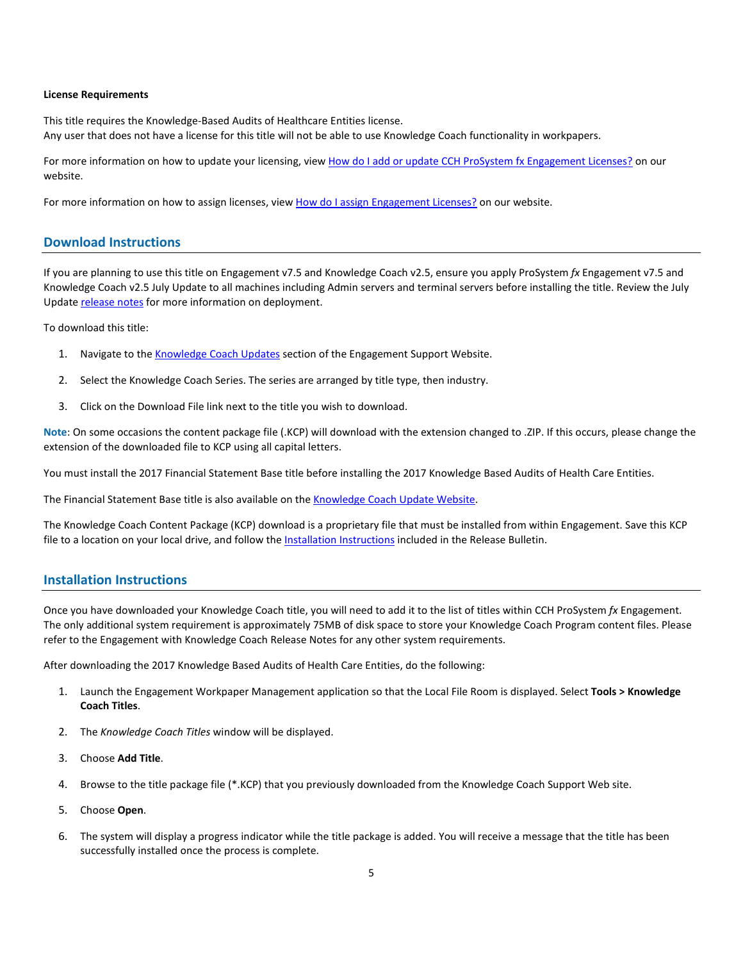### **License Requirements**

This title requires the Knowledge-Based Audits of Healthcare Entities license. Any user that does not have a license for this title will not be able to use Knowledge Coach functionality in workpapers.

For more information on how to update your licensing, vie[w How do I add or update CCH ProSystem fx Engagement Licenses?](https://support.cch.com/kb/solution.aspx/sw3937) on our website.

For more information on how to assign licenses, view [How do I assign Engagement Licenses?](https://support.cch.com/kb/solution.aspx/sw3943) on our website.

# **Download Instructions**

If you are planning to use this title on Engagement v7.5 and Knowledge Coach v2.5, ensure you apply ProSystem *fx* Engagement v7.5 and Knowledge Coach v2.5 July Update to all machines including Admin servers and terminal servers before installing the title. Review the July Update [release notes](https://support.cch.com/updates/Engagement/patch75/Engagement%20and%20KC%20July%202017%20Update%20Release%20Notes.pdf) for more information on deployment.

To download this title:

- 1. Navigate to the [Knowledge Coach Updates](http://support.cch.com/updates/KnowledgeCoach) section of the Engagement Support Website.
- 2. Select the Knowledge Coach Series. The series are arranged by title type, then industry.
- 3. Click on the Download File link next to the title you wish to download.

**Note**: On some occasions the content package file (.KCP) will download with the extension changed to .ZIP. If this occurs, please change the extension of the downloaded file to KCP using all capital letters.

You must install the 2017 Financial Statement Base title before installing the 2017 Knowledge Based Audits of Health Care Entities.

The Financial Statement Base title is also available on th[e Knowledge Coach Update Website.](http://support.cch.com/updates/KnowledgeCoach)

The Knowledge Coach Content Package (KCP) download is a proprietary file that must be installed from within Engagement. Save this KCP file to a location on your local drive, and follow the Installation Instructions included in the Release Bulletin.

## **Installation Instructions**

Once you have downloaded your Knowledge Coach title, you will need to add it to the list of titles within CCH ProSystem *fx* Engagement. The only additional system requirement is approximately 75MB of disk space to store your Knowledge Coach Program content files. Please refer to the Engagement with Knowledge Coach Release Notes for any other system requirements.

After downloading the 2017 Knowledge Based Audits of Health Care Entities, do the following:

- 1. Launch the Engagement Workpaper Management application so that the Local File Room is displayed. Select **Tools > Knowledge Coach Titles**.
- 2. The *Knowledge Coach Titles* window will be displayed.
- 3. Choose **Add Title**.
- 4. Browse to the title package file (\*.KCP) that you previously downloaded from the Knowledge Coach Support Web site.
- 5. Choose **Open**.
- 6. The system will display a progress indicator while the title package is added. You will receive a message that the title has been successfully installed once the process is complete.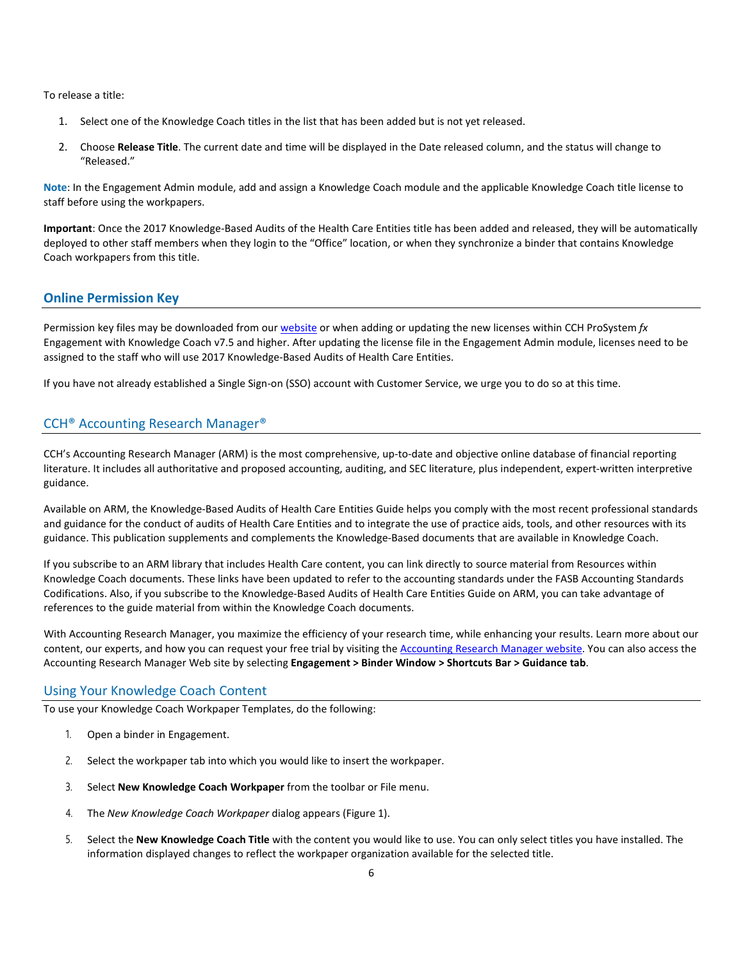To release a title:

- 1. Select one of the Knowledge Coach titles in the list that has been added but is not yet released.
- 2. Choose **Release Title**. The current date and time will be displayed in the Date released column, and the status will change to "Released."

**Note**: In the Engagement Admin module, add and assign a Knowledge Coach module and the applicable Knowledge Coach title license to staff before using the workpapers.

**Important**: Once the 2017 Knowledge-Based Audits of the Health Care Entities title has been added and released, they will be automatically deployed to other staff members when they login to the "Office" location, or when they synchronize a binder that contains Knowledge Coach workpapers from this title.

# **Online Permission Key**

Permission key files may be downloaded from ou[r website](https://prosystemfxsupport.tax.cchgroup.com/permkey/download.aspx) or when adding or updating the new licenses within CCH ProSystem *fx* Engagement with Knowledge Coach v7.5 and higher. After updating the license file in the Engagement Admin module, licenses need to be assigned to the staff who will use 2017 Knowledge-Based Audits of Health Care Entities.

If you have not already established a Single Sign-on (SSO) account with Customer Service, we urge you to do so at this time.

# CCH® Accounting Research Manager®

CCH's Accounting Research Manager (ARM) is the most comprehensive, up-to-date and objective online database of financial reporting literature. It includes all authoritative and proposed accounting, auditing, and SEC literature, plus independent, expert-written interpretive guidance.

Available on ARM, the Knowledge-Based Audits of Health Care Entities Guide helps you comply with the most recent professional standards and guidance for the conduct of audits of Health Care Entities and to integrate the use of practice aids, tools, and other resources with its guidance. This publication supplements and complements the Knowledge-Based documents that are available in Knowledge Coach.

If you subscribe to an ARM library that includes Health Care content, you can link directly to source material from Resources within Knowledge Coach documents. These links have been updated to refer to the accounting standards under the FASB Accounting Standards Codifications. Also, if you subscribe to the Knowledge-Based Audits of Health Care Entities Guide on ARM, you can take advantage of references to the guide material from within the Knowledge Coach documents.

With Accounting Research Manager, you maximize the efficiency of your research time, while enhancing your results. Learn more about our content, our experts, and how you can request your free trial by visiting the [Accounting Research Manager website.](http://www.accountingresearchmanager.com/) You can also access the Accounting Research Manager Web site by selecting **Engagement > Binder Window > Shortcuts Bar > Guidance tab**.

## Using Your Knowledge Coach Content

To use your Knowledge Coach Workpaper Templates, do the following:

- 1. Open a binder in Engagement.
- 2. Select the workpaper tab into which you would like to insert the workpaper.
- 3. Select **New Knowledge Coach Workpaper** from the toolbar or File menu.
- 4. The *New Knowledge Coach Workpaper* dialog appears (Figure 1).
- 5. Select the **New Knowledge Coach Title** with the content you would like to use. You can only select titles you have installed. The information displayed changes to reflect the workpaper organization available for the selected title.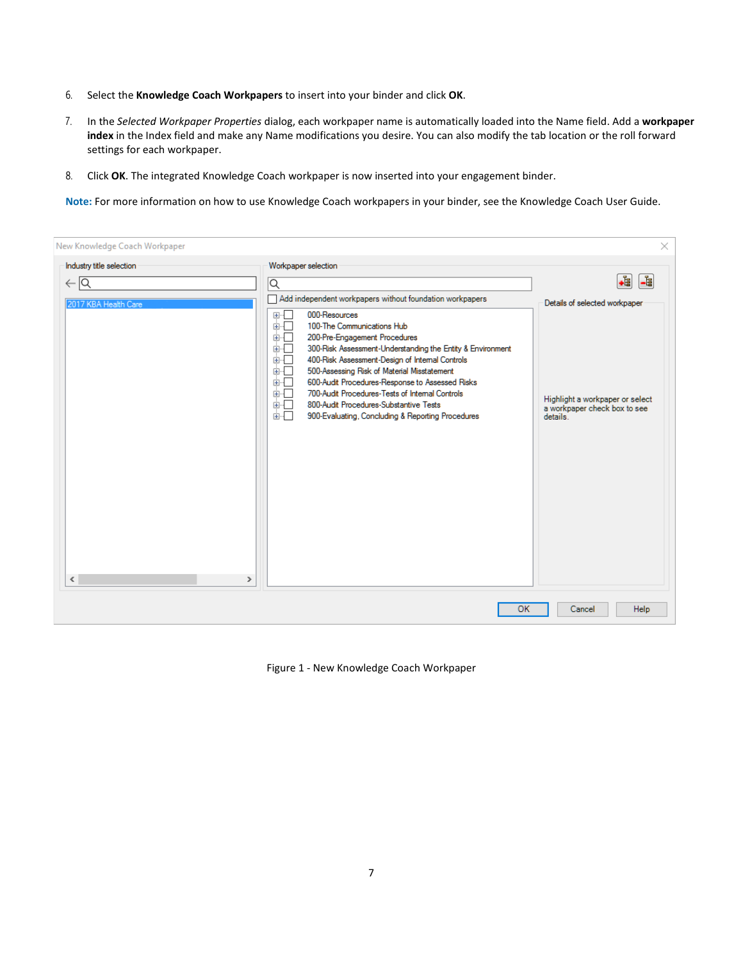- 6. Select the **Knowledge Coach Workpapers** to insert into your binder and click **OK**.
- 7. In the *Selected Workpaper Properties* dialog, each workpaper name is automatically loaded into the Name field. Add a **workpaper index** in the Index field and make any Name modifications you desire. You can also modify the tab location or the roll forward settings for each workpaper.
- 8. Click **OK**. The integrated Knowledge Coach workpaper is now inserted into your engagement binder.

**Note:** For more information on how to use Knowledge Coach workpapers in your binder, see the Knowledge Coach User Guide.

| New Knowledge Coach Workpaper                                                   |                                                                                                                                                                                                                                                                                                                                                                                                                                                                                                                                                                                                        | ×                                                                                                                        |
|---------------------------------------------------------------------------------|--------------------------------------------------------------------------------------------------------------------------------------------------------------------------------------------------------------------------------------------------------------------------------------------------------------------------------------------------------------------------------------------------------------------------------------------------------------------------------------------------------------------------------------------------------------------------------------------------------|--------------------------------------------------------------------------------------------------------------------------|
| Industry title selection<br>$\leftarrow$ $\overline{Q}$<br>2017 KBA Health Care | Workpaper selection<br>Q<br>Add independent workpapers without foundation workpapers<br>000-Resources<br>⊞…⊡<br>100-The Communications Hub<br>面示<br>面干<br>200-Pre-Engagement Procedures<br>面板<br>300-Risk Assessment-Understanding the Entity & Environment<br>面石<br>400-Risk Assessment-Design of Internal Controls<br>面一<br>500-Assessing Risk of Material Misstatement<br>600-Audit Procedures-Response to Assessed Risks<br>面示<br>700-Audit Procedures-Tests of Internal Controls<br>面一<br>800-Audit Procedures-Substantive Tests<br>面。<br>面目<br>900-Evaluating, Concluding & Reporting Procedures | +ŧ<br>La<br>Details of selected workpaper<br>Highlight a workpaper or select<br>a workpaper check box to see<br>details. |
| $\hat{}$<br>$\rightarrow$                                                       |                                                                                                                                                                                                                                                                                                                                                                                                                                                                                                                                                                                                        |                                                                                                                          |
|                                                                                 | <b>OK</b>                                                                                                                                                                                                                                                                                                                                                                                                                                                                                                                                                                                              | Help<br>Cancel                                                                                                           |

Figure 1 - New Knowledge Coach Workpaper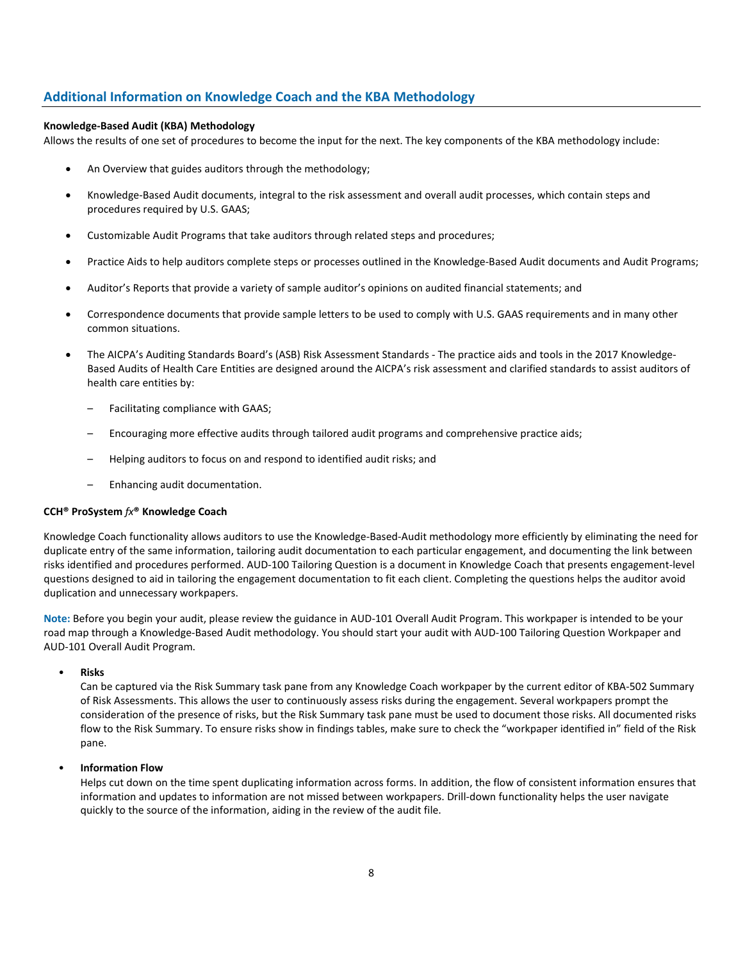# **Additional Information on Knowledge Coach and the KBA Methodology**

## **Knowledge-Based Audit (KBA) Methodology**

Allows the results of one set of procedures to become the input for the next. The key components of the KBA methodology include:

- An Overview that guides auditors through the methodology;
- Knowledge-Based Audit documents, integral to the risk assessment and overall audit processes, which contain steps and procedures required by U.S. GAAS;
- Customizable Audit Programs that take auditors through related steps and procedures;
- Practice Aids to help auditors complete steps or processes outlined in the Knowledge-Based Audit documents and Audit Programs;
- Auditor's Reports that provide a variety of sample auditor's opinions on audited financial statements; and
- Correspondence documents that provide sample letters to be used to comply with U.S. GAAS requirements and in many other common situations.
- The AICPA's Auditing Standards Board's (ASB) Risk Assessment Standards The practice aids and tools in the 2017 Knowledge-Based Audits of Health Care Entities are designed around the AICPA's risk assessment and clarified standards to assist auditors of health care entities by:
	- Facilitating compliance with GAAS;
	- Encouraging more effective audits through tailored audit programs and comprehensive practice aids;
	- Helping auditors to focus on and respond to identified audit risks; and
	- Enhancing audit documentation.

### **CCH® ProSystem** *fx***® Knowledge Coach**

Knowledge Coach functionality allows auditors to use the Knowledge-Based-Audit methodology more efficiently by eliminating the need for duplicate entry of the same information, tailoring audit documentation to each particular engagement, and documenting the link between risks identified and procedures performed. AUD-100 Tailoring Question is a document in Knowledge Coach that presents engagement-level questions designed to aid in tailoring the engagement documentation to fit each client. Completing the questions helps the auditor avoid duplication and unnecessary workpapers.

**Note:** Before you begin your audit, please review the guidance in AUD-101 Overall Audit Program. This workpaper is intended to be your road map through a Knowledge-Based Audit methodology. You should start your audit with AUD-100 Tailoring Question Workpaper and AUD-101 Overall Audit Program.

## • **Risks**

Can be captured via the Risk Summary task pane from any Knowledge Coach workpaper by the current editor of KBA-502 Summary of Risk Assessments. This allows the user to continuously assess risks during the engagement. Several workpapers prompt the consideration of the presence of risks, but the Risk Summary task pane must be used to document those risks. All documented risks flow to the Risk Summary. To ensure risks show in findings tables, make sure to check the "workpaper identified in" field of the Risk pane.

## • **Information Flow**

Helps cut down on the time spent duplicating information across forms. In addition, the flow of consistent information ensures that information and updates to information are not missed between workpapers. Drill-down functionality helps the user navigate quickly to the source of the information, aiding in the review of the audit file.